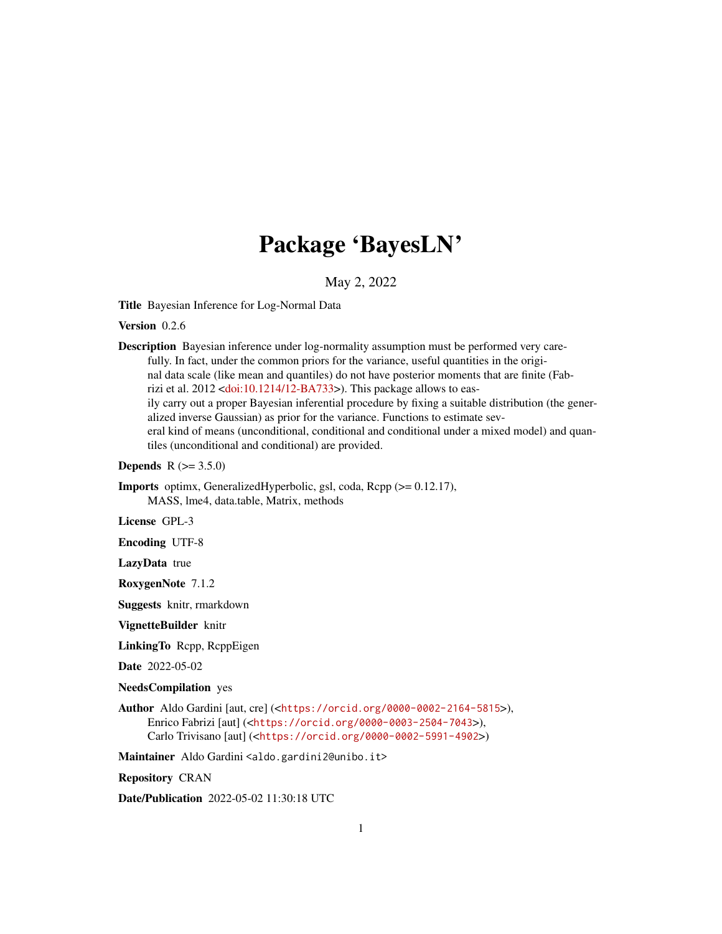# Package 'BayesLN'

May 2, 2022

<span id="page-0-0"></span>Title Bayesian Inference for Log-Normal Data

Version 0.2.6

Description Bayesian inference under log-normality assumption must be performed very carefully. In fact, under the common priors for the variance, useful quantities in the original data scale (like mean and quantiles) do not have posterior moments that are finite (Fabrizi et al. 2012 [<doi:10.1214/12-BA733>](https://doi.org/10.1214/12-BA733)). This package allows to easily carry out a proper Bayesian inferential procedure by fixing a suitable distribution (the generalized inverse Gaussian) as prior for the variance. Functions to estimate several kind of means (unconditional, conditional and conditional under a mixed model) and quantiles (unconditional and conditional) are provided.

**Depends** R  $(>= 3.5.0)$ 

Imports optimx, GeneralizedHyperbolic, gsl, coda, Rcpp (>= 0.12.17), MASS, lme4, data.table, Matrix, methods

License GPL-3

Encoding UTF-8

LazyData true

RoxygenNote 7.1.2

Suggests knitr, rmarkdown

VignetteBuilder knitr

LinkingTo Rcpp, RcppEigen

Date 2022-05-02

NeedsCompilation yes

Author Aldo Gardini [aut, cre] (<<https://orcid.org/0000-0002-2164-5815>>), Enrico Fabrizi [aut] (<<https://orcid.org/0000-0003-2504-7043>>), Carlo Trivisano [aut] (<<https://orcid.org/0000-0002-5991-4902>>)

Maintainer Aldo Gardini <aldo.gardini2@unibo.it>

Repository CRAN

Date/Publication 2022-05-02 11:30:18 UTC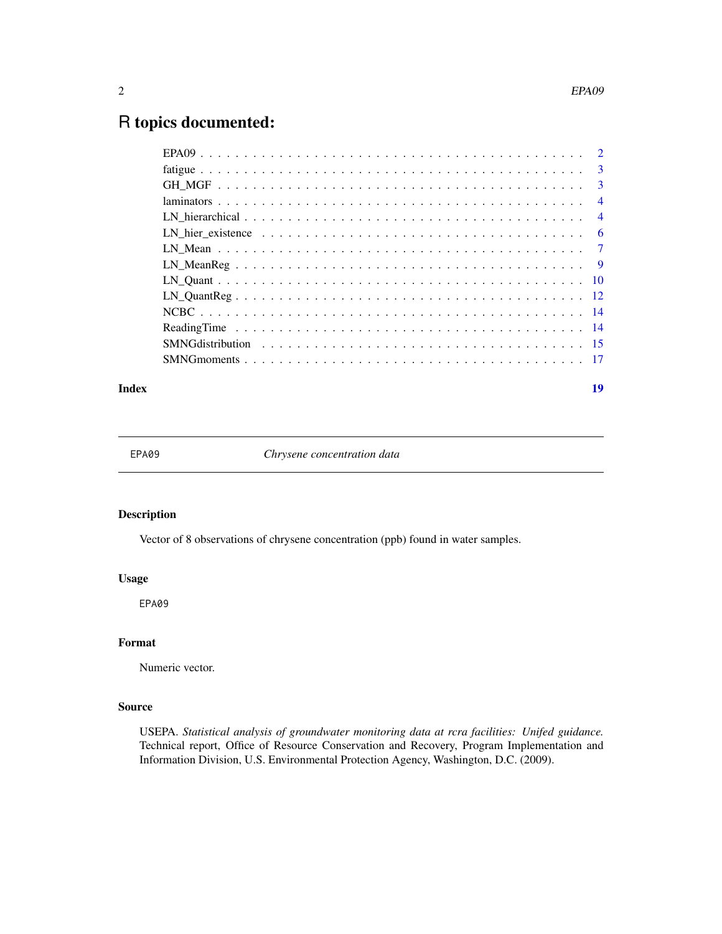#### <span id="page-1-0"></span> $2 \angle$

# R topics documented:

| LN hier existence $\ldots \ldots \ldots \ldots \ldots \ldots \ldots \ldots \ldots \ldots \ldots$ |  |
|--------------------------------------------------------------------------------------------------|--|
|                                                                                                  |  |
|                                                                                                  |  |
|                                                                                                  |  |
|                                                                                                  |  |
|                                                                                                  |  |
|                                                                                                  |  |
|                                                                                                  |  |
|                                                                                                  |  |
|                                                                                                  |  |

#### **Index** 2008 **[19](#page-18-0)99**

EPA09 *Chrysene concentration data*

# Description

Vector of 8 observations of chrysene concentration (ppb) found in water samples.

# Usage

EPA09

# Format

Numeric vector.

#### Source

USEPA. *Statistical analysis of groundwater monitoring data at rcra facilities: Unifed guidance.* Technical report, Office of Resource Conservation and Recovery, Program Implementation and Information Division, U.S. Environmental Protection Agency, Washington, D.C. (2009).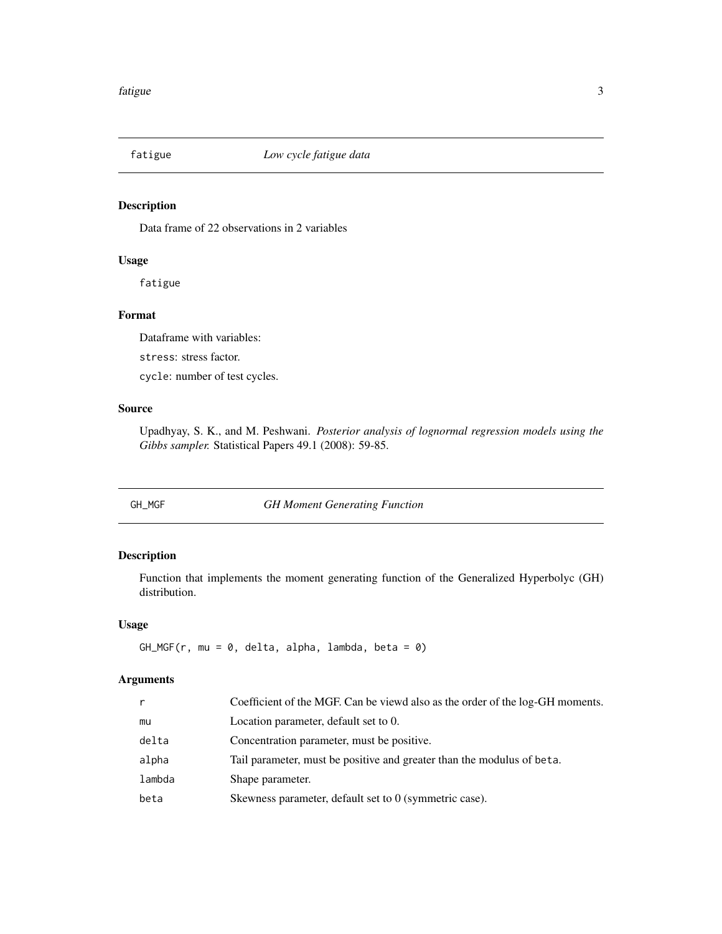<span id="page-2-0"></span>

# Description

Data frame of 22 observations in 2 variables

#### Usage

fatigue

# Format

Dataframe with variables:

stress: stress factor.

cycle: number of test cycles.

# Source

Upadhyay, S. K., and M. Peshwani. *Posterior analysis of lognormal regression models using the Gibbs sampler.* Statistical Papers 49.1 (2008): 59-85.

GH\_MGF *GH Moment Generating Function*

# Description

Function that implements the moment generating function of the Generalized Hyperbolyc (GH) distribution.

#### Usage

 $GH_MGF(r, mu = 0, delta, alpha, lambda, beta = 0)$ 

| r      | Coefficient of the MGF. Can be viewd also as the order of the log-GH moments. |
|--------|-------------------------------------------------------------------------------|
| mu     | Location parameter, default set to 0.                                         |
| delta  | Concentration parameter, must be positive.                                    |
| alpha  | Tail parameter, must be positive and greater than the modulus of beta.        |
| lambda | Shape parameter.                                                              |
| beta   | Skewness parameter, default set to 0 (symmetric case).                        |
|        |                                                                               |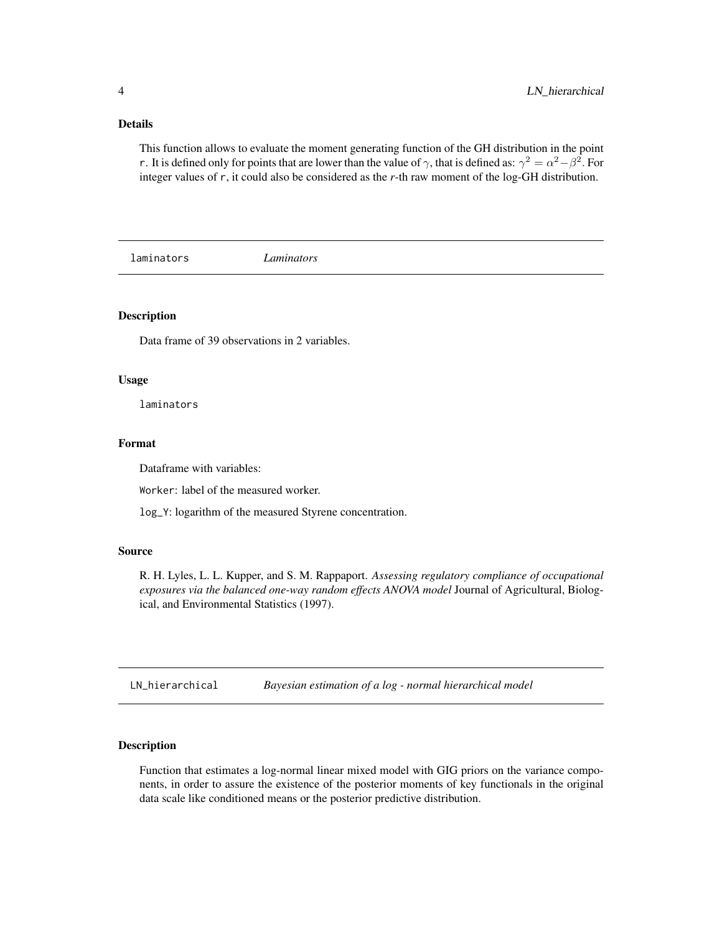<span id="page-3-0"></span>This function allows to evaluate the moment generating function of the GH distribution in the point r. It is defined only for points that are lower than the value of  $\gamma$ , that is defined as:  $\gamma^2 = \alpha^2 - \beta^2$ . For integer values of r, it could also be considered as the *r*-th raw moment of the log-GH distribution.

laminators *Laminators*

#### Description

Data frame of 39 observations in 2 variables.

#### Usage

laminators

## Format

Dataframe with variables:

Worker: label of the measured worker.

log\_Y: logarithm of the measured Styrene concentration.

#### Source

R. H. Lyles, L. L. Kupper, and S. M. Rappaport. *Assessing regulatory compliance of occupational exposures via the balanced one-way random effects ANOVA model* Journal of Agricultural, Biological, and Environmental Statistics (1997).

LN\_hierarchical *Bayesian estimation of a log - normal hierarchical model*

# Description

Function that estimates a log-normal linear mixed model with GIG priors on the variance components, in order to assure the existence of the posterior moments of key functionals in the original data scale like conditioned means or the posterior predictive distribution.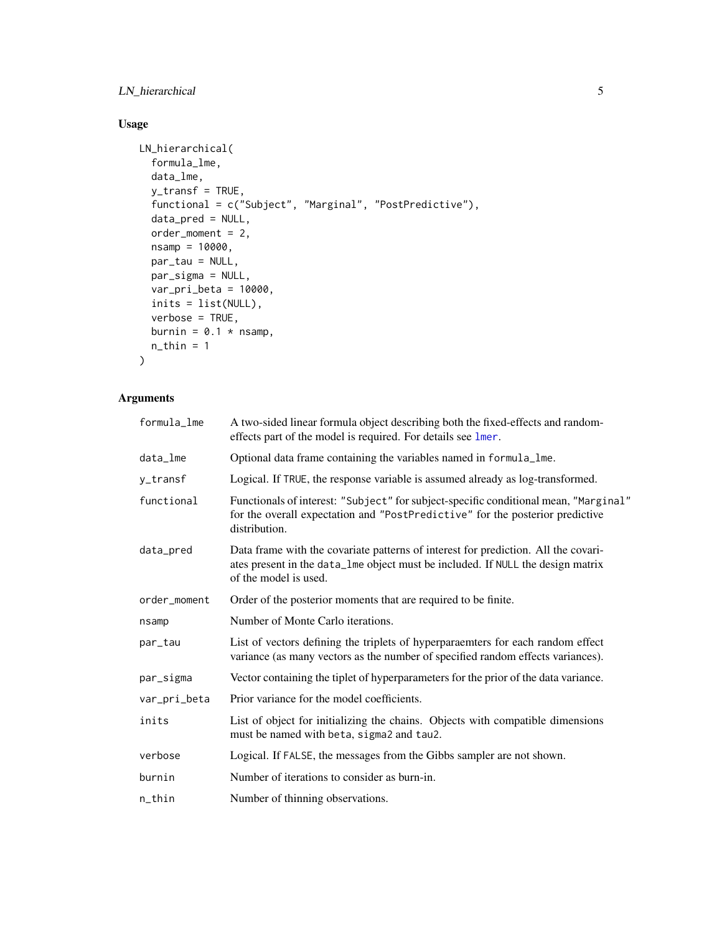# <span id="page-4-0"></span>LN\_hierarchical 5

# Usage

```
LN_hierarchical(
  formula_lme,
  data_lme,
  y_transf = TRUE,
  functional = c("Subject", "Marginal", "PostPredictive"),
  data_pred = NULL,
  order_moment = 2,
  nsamp = 10000,
  par_tau = NULL,
  par_sigma = NULL,
  var_pri_beta = 10000,
  inits = list(NULL),
  verbose = TRUE,
  burnin = 0.1 * nsamp,
  n_{th}in = 1
\mathcal{L}
```

| formula_lme  | A two-sided linear formula object describing both the fixed-effects and random-<br>effects part of the model is required. For details see lmer.                                                |
|--------------|------------------------------------------------------------------------------------------------------------------------------------------------------------------------------------------------|
| data_lme     | Optional data frame containing the variables named in formula_lme.                                                                                                                             |
| y_transf     | Logical. If TRUE, the response variable is assumed already as log-transformed.                                                                                                                 |
| functional   | Functionals of interest: "Subject" for subject-specific conditional mean, "Marginal"<br>for the overall expectation and "PostPredictive" for the posterior predictive<br>distribution.         |
| data_pred    | Data frame with the covariate patterns of interest for prediction. All the covari-<br>ates present in the data_lme object must be included. If NULL the design matrix<br>of the model is used. |
| order_moment | Order of the posterior moments that are required to be finite.                                                                                                                                 |
| nsamp        | Number of Monte Carlo iterations.                                                                                                                                                              |
| par_tau      | List of vectors defining the triplets of hyperparaemters for each random effect<br>variance (as many vectors as the number of specified random effects variances).                             |
| par_sigma    | Vector containing the tiplet of hyperparameters for the prior of the data variance.                                                                                                            |
| var_pri_beta | Prior variance for the model coefficients.                                                                                                                                                     |
| inits        | List of object for initializing the chains. Objects with compatible dimensions<br>must be named with beta, sigma2 and tau2.                                                                    |
| verbose      | Logical. If FALSE, the messages from the Gibbs sampler are not shown.                                                                                                                          |
| burnin       | Number of iterations to consider as burn-in.                                                                                                                                                   |
| n_thin       | Number of thinning observations.                                                                                                                                                               |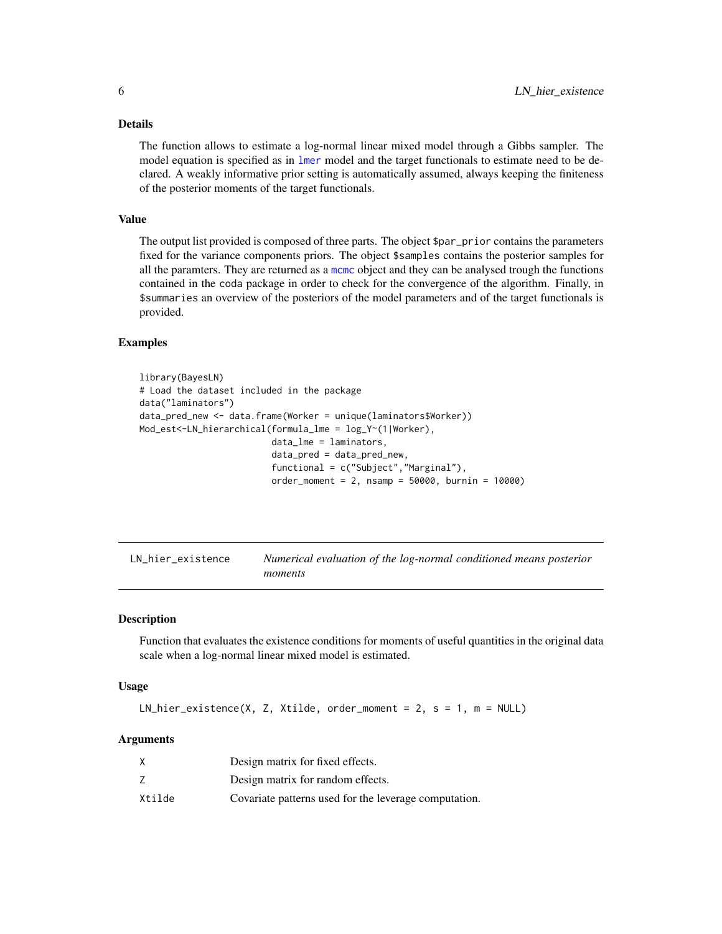<span id="page-5-0"></span>The function allows to estimate a log-normal linear mixed model through a Gibbs sampler. The model equation is specified as in [lmer](#page-0-0) model and the target functionals to estimate need to be declared. A weakly informative prior setting is automatically assumed, always keeping the finiteness of the posterior moments of the target functionals.

#### Value

The output list provided is composed of three parts. The object \$par\_prior contains the parameters fixed for the variance components priors. The object \$samples contains the posterior samples for all the paramters. They are returned as a [mcmc](#page-0-0) object and they can be analysed trough the functions contained in the coda package in order to check for the convergence of the algorithm. Finally, in \$summaries an overview of the posteriors of the model parameters and of the target functionals is provided.

# Examples

```
library(BayesLN)
# Load the dataset included in the package
data("laminators")
data_pred_new <- data.frame(Worker = unique(laminators$Worker))
Mod_est<-LN_hierarchical(formula_lme = log_Y~(1|Worker),
                         data_lme = laminators,
                         data_pred = data_pred_new,
                         functional = c("Subject","Marginal"),
                         order_moment = 2, nsamp = 50000, burnin = 10000)
```

| LN_hier_existence | Numerical evaluation of the log-normal conditioned means posterior |
|-------------------|--------------------------------------------------------------------|
|                   | moments                                                            |

# Description

Function that evaluates the existence conditions for moments of useful quantities in the original data scale when a log-normal linear mixed model is estimated.

#### Usage

 $LN\_hier\_existence(X, Z, Xtilde, order\_moment = 2, s = 1, m = NULL)$ 

|        | Design matrix for fixed effects.                      |
|--------|-------------------------------------------------------|
|        | Design matrix for random effects.                     |
| Xtilde | Covariate patterns used for the leverage computation. |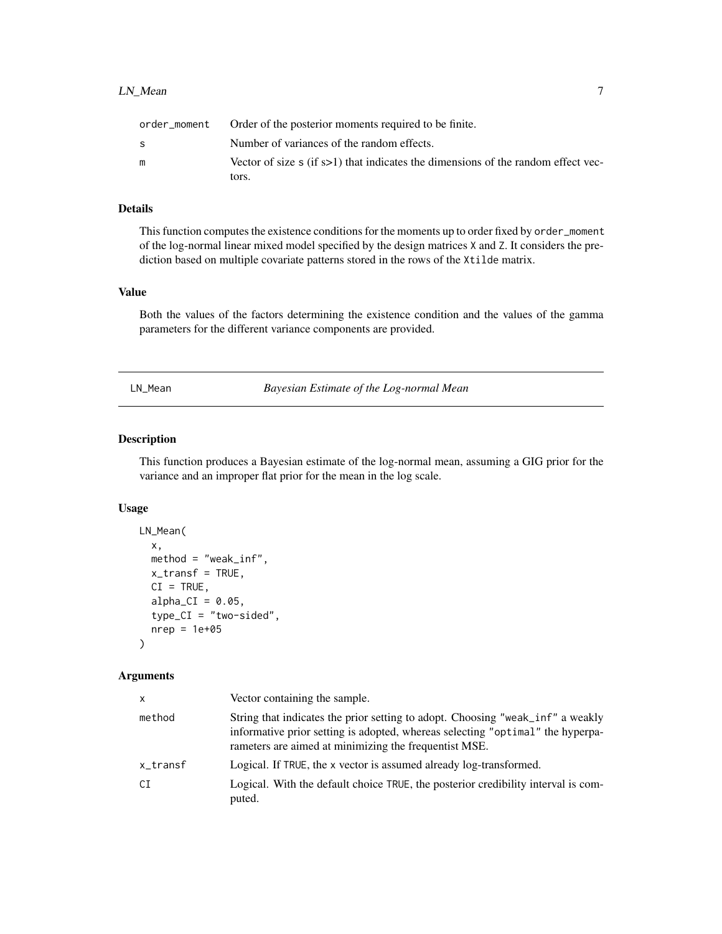<span id="page-6-0"></span>

|    | order_moment Order of the posterior moments required to be finite.                            |
|----|-----------------------------------------------------------------------------------------------|
| S. | Number of variances of the random effects.                                                    |
|    | Vector of size $\mathfrak s$ (if s>1) that indicates the dimensions of the random effect vec- |
|    | tors.                                                                                         |

This function computes the existence conditions for the moments up to order fixed by order\_moment of the log-normal linear mixed model specified by the design matrices X and Z. It considers the prediction based on multiple covariate patterns stored in the rows of the Xtilde matrix.

#### Value

Both the values of the factors determining the existence condition and the values of the gamma parameters for the different variance components are provided.

<span id="page-6-1"></span>LN\_Mean *Bayesian Estimate of the Log-normal Mean*

#### Description

This function produces a Bayesian estimate of the log-normal mean, assuming a GIG prior for the variance and an improper flat prior for the mean in the log scale.

#### Usage

```
LN_Mean(
  x,
 method = "weak_inf",
  x_t transf = TRUE,
 CI = TRUE,alpha_CI = 0.05,
  type_CI = "two-sided",
  nrep = 1e+05\lambda
```

| x        | Vector containing the sample.                                                                                                                                                                                             |
|----------|---------------------------------------------------------------------------------------------------------------------------------------------------------------------------------------------------------------------------|
| method   | String that indicates the prior setting to adopt. Choosing "weak_inf" a weakly<br>informative prior setting is adopted, whereas selecting "optimal" the hyperpa-<br>rameters are aimed at minimizing the frequentist MSE. |
| x_transf | Logical. If TRUE, the x vector is assumed already log-transformed.                                                                                                                                                        |
| СI       | Logical. With the default choice TRUE, the posterior credibility interval is com-<br>puted.                                                                                                                               |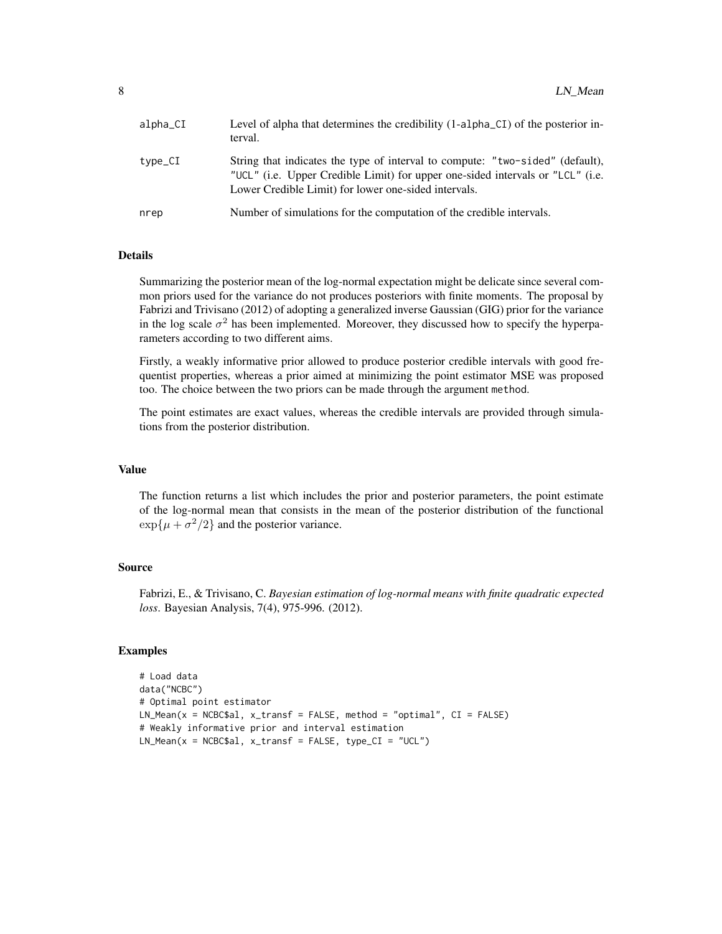| $alpha_CI$ | Level of alpha that determines the credibility (1-alpha_CI) of the posterior in-<br>terval.                                                                                                                             |
|------------|-------------------------------------------------------------------------------------------------------------------------------------------------------------------------------------------------------------------------|
| type_CI    | String that indicates the type of interval to compute: "two-sided" (default),<br>"UCL" (i.e. Upper Credible Limit) for upper one-sided intervals or "LCL" (i.e.<br>Lower Credible Limit) for lower one-sided intervals. |
| nrep       | Number of simulations for the computation of the credible intervals.                                                                                                                                                    |

Summarizing the posterior mean of the log-normal expectation might be delicate since several common priors used for the variance do not produces posteriors with finite moments. The proposal by Fabrizi and Trivisano (2012) of adopting a generalized inverse Gaussian (GIG) prior for the variance in the log scale  $\sigma^2$  has been implemented. Moreover, they discussed how to specify the hyperparameters according to two different aims.

Firstly, a weakly informative prior allowed to produce posterior credible intervals with good frequentist properties, whereas a prior aimed at minimizing the point estimator MSE was proposed too. The choice between the two priors can be made through the argument method.

The point estimates are exact values, whereas the credible intervals are provided through simulations from the posterior distribution.

#### Value

The function returns a list which includes the prior and posterior parameters, the point estimate of the log-normal mean that consists in the mean of the posterior distribution of the functional  $\exp{\{\mu + \sigma^2/2\}}$  and the posterior variance.

#### Source

Fabrizi, E., & Trivisano, C. *Bayesian estimation of log-normal means with finite quadratic expected loss*. Bayesian Analysis, 7(4), 975-996. (2012).

#### Examples

```
# Load data
data("NCBC")
# Optimal point estimator
LN_Mean(x = NCBC$al, x_transform = FALSE, method = "optimal", CI = FALSE)# Weakly informative prior and interval estimation
LN_Mean(x = NCBC$al, x_transform = FALSE, type_CI = "UCL")
```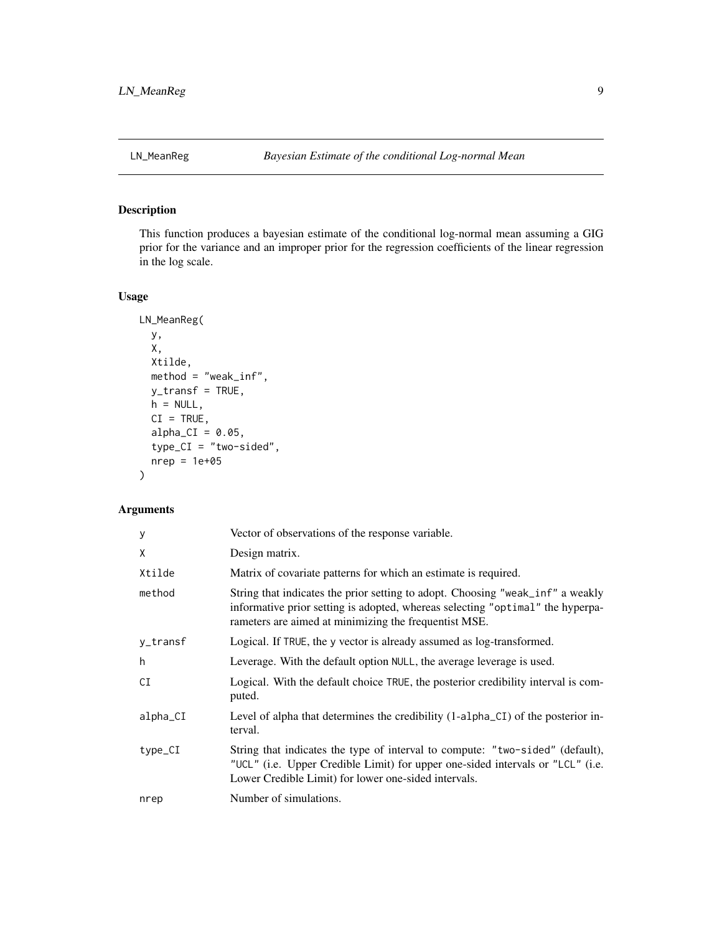<span id="page-8-0"></span>

# Description

This function produces a bayesian estimate of the conditional log-normal mean assuming a GIG prior for the variance and an improper prior for the regression coefficients of the linear regression in the log scale.

# Usage

```
LN_MeanReg(
  y,
  X,
 Xtilde,
 method = "weak_inf",
 y_transf = TRUE,
 h = NULL,CI = TRUE,alpha_CI = 0.05,
  type_CI = "two-sided",
  nrep = 1e+05\mathcal{L}
```

| У        | Vector of observations of the response variable.                                                                                                                                                                          |
|----------|---------------------------------------------------------------------------------------------------------------------------------------------------------------------------------------------------------------------------|
| X        | Design matrix.                                                                                                                                                                                                            |
| Xtilde   | Matrix of covariate patterns for which an estimate is required.                                                                                                                                                           |
| method   | String that indicates the prior setting to adopt. Choosing "weak_inf" a weakly<br>informative prior setting is adopted, whereas selecting "optimal" the hyperpa-<br>rameters are aimed at minimizing the frequentist MSE. |
| y_transf | Logical. If TRUE, the y vector is already assumed as log-transformed.                                                                                                                                                     |
| h        | Leverage. With the default option NULL, the average leverage is used.                                                                                                                                                     |
| CI       | Logical. With the default choice TRUE, the posterior credibility interval is com-<br>puted.                                                                                                                               |
| alpha_CI | Level of alpha that determines the credibility $(1-a1pha_CI)$ of the posterior in-<br>terval.                                                                                                                             |
| type_CI  | String that indicates the type of interval to compute: "two-sided" (default),<br>"UCL" (i.e. Upper Credible Limit) for upper one-sided intervals or "LCL" (i.e.<br>Lower Credible Limit) for lower one-sided intervals.   |
| nrep     | Number of simulations.                                                                                                                                                                                                    |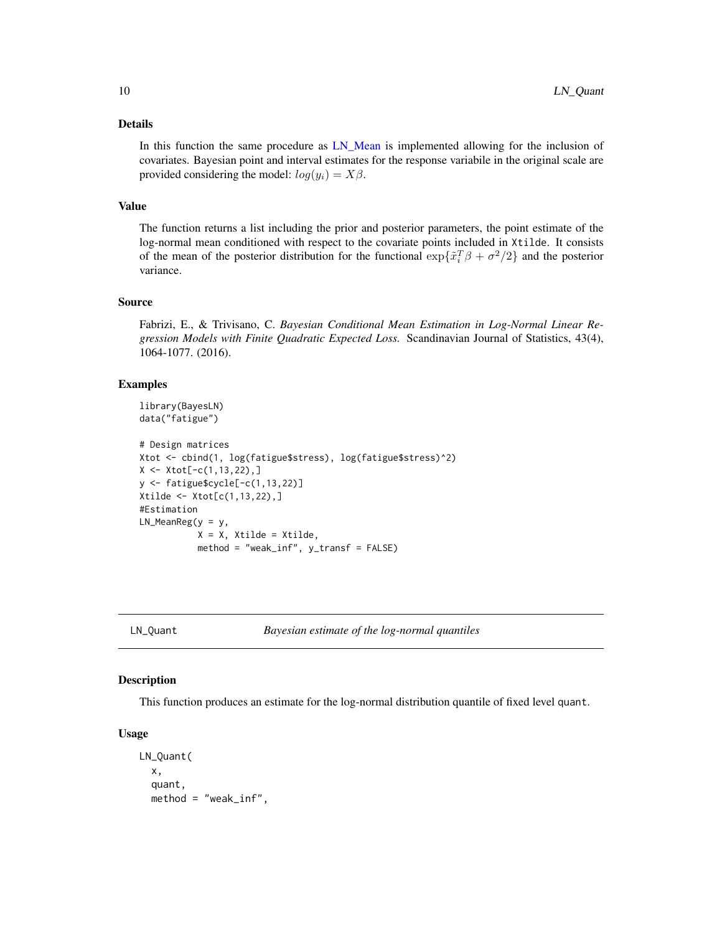<span id="page-9-0"></span>In this function the same procedure as [LN\\_Mean](#page-6-1) is implemented allowing for the inclusion of covariates. Bayesian point and interval estimates for the response variabile in the original scale are provided considering the model:  $log(y_i) = X\beta$ .

#### Value

The function returns a list including the prior and posterior parameters, the point estimate of the log-normal mean conditioned with respect to the covariate points included in Xtilde. It consists of the mean of the posterior distribution for the functional  $\exp{\{\tilde{x}_i^T\beta + \sigma^2/2\}}$  and the posterior variance.

#### Source

Fabrizi, E., & Trivisano, C. *Bayesian Conditional Mean Estimation in Log-Normal Linear Regression Models with Finite Quadratic Expected Loss.* Scandinavian Journal of Statistics, 43(4), 1064-1077. (2016).

#### Examples

```
library(BayesLN)
data("fatigue")
# Design matrices
Xtot <- cbind(1, log(fatigue$stress), log(fatigue$stress)^2)
X \leftarrow \text{Xtot}[-c(1, 13, 22), ]y <- fatigue$cycle[-c(1,13,22)]
Xtilde <- Xtot[c(1,13,22),]
#Estimation
LN\_MeanReg(y = y,X = X, Xtilde = Xtilde,
```

```
method = "weak_inf", y_transf = FALSE)
```
LN\_Quant *Bayesian estimate of the log-normal quantiles*

# Description

This function produces an estimate for the log-normal distribution quantile of fixed level quant.

#### Usage

```
LN_Quant(
  x,
  quant,
  method = "weak_inf",
```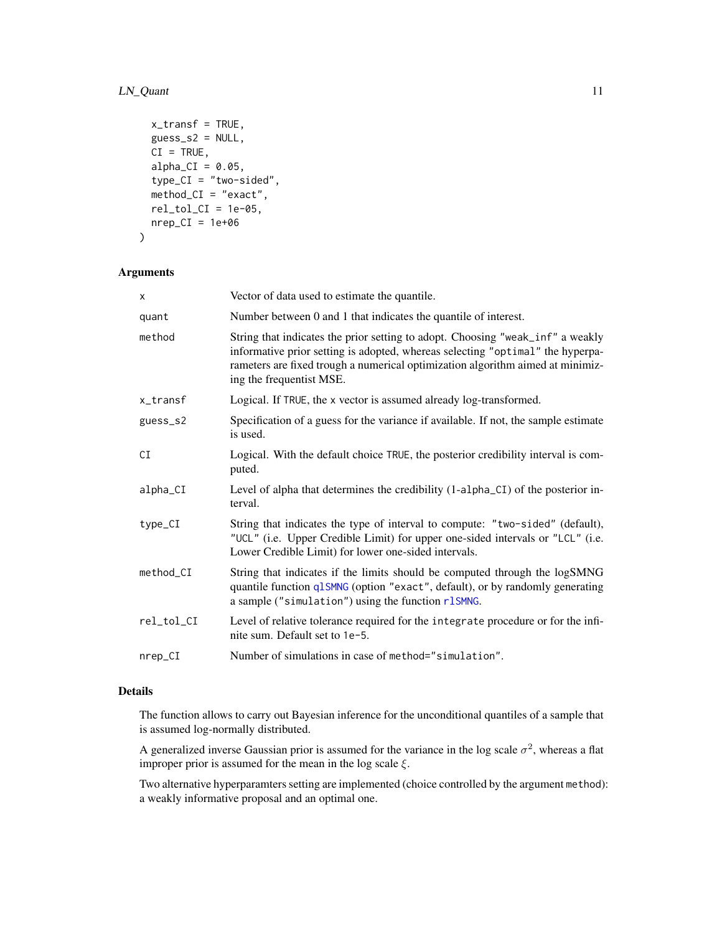# <span id="page-10-0"></span>LN\_Quant 11

```
x_transf = TRUE,
 guess_ss2 = NULL,CI = TRUE,alpha_CI = 0.05,
  type_CI = "two-sided",
 method_CI = "exact",rel\_tol\_CI = 1e-05,
 nrep_CI = 1e+06)
```
# Arguments

| X          | Vector of data used to estimate the quantile.                                                                                                                                                                                                                                  |
|------------|--------------------------------------------------------------------------------------------------------------------------------------------------------------------------------------------------------------------------------------------------------------------------------|
| quant      | Number between 0 and 1 that indicates the quantile of interest.                                                                                                                                                                                                                |
| method     | String that indicates the prior setting to adopt. Choosing "weak_inf" a weakly<br>informative prior setting is adopted, whereas selecting "optimal" the hyperpa-<br>rameters are fixed trough a numerical optimization algorithm aimed at minimiz-<br>ing the frequentist MSE. |
| x_transf   | Logical. If TRUE, the x vector is assumed already log-transformed.                                                                                                                                                                                                             |
| guess_s2   | Specification of a guess for the variance if available. If not, the sample estimate<br>is used.                                                                                                                                                                                |
| СI         | Logical. With the default choice TRUE, the posterior credibility interval is com-<br>puted.                                                                                                                                                                                    |
| alpha_CI   | Level of alpha that determines the credibility (1-alpha_CI) of the posterior in-<br>terval.                                                                                                                                                                                    |
| $type_CI$  | String that indicates the type of interval to compute: "two-sided" (default),<br>"UCL" (i.e. Upper Credible Limit) for upper one-sided intervals or "LCL" (i.e.<br>Lower Credible Limit) for lower one-sided intervals.                                                        |
| method_CI  | String that indicates if the limits should be computed through the logSMNG<br>quantile function q1SMNG (option "exact", default), or by randomly generating<br>a sample ("simulation") using the function rlSMNG.                                                              |
| rel_tol_CI | Level of relative tolerance required for the integrate procedure or for the infi-<br>nite sum. Default set to 1e-5.                                                                                                                                                            |
| nrep_CI    | Number of simulations in case of method="simulation".                                                                                                                                                                                                                          |

#### Details

The function allows to carry out Bayesian inference for the unconditional quantiles of a sample that is assumed log-normally distributed.

A generalized inverse Gaussian prior is assumed for the variance in the log scale  $\sigma^2$ , whereas a flat improper prior is assumed for the mean in the log scale  $\xi$ .

Two alternative hyperparamters setting are implemented (choice controlled by the argument method): a weakly informative proposal and an optimal one.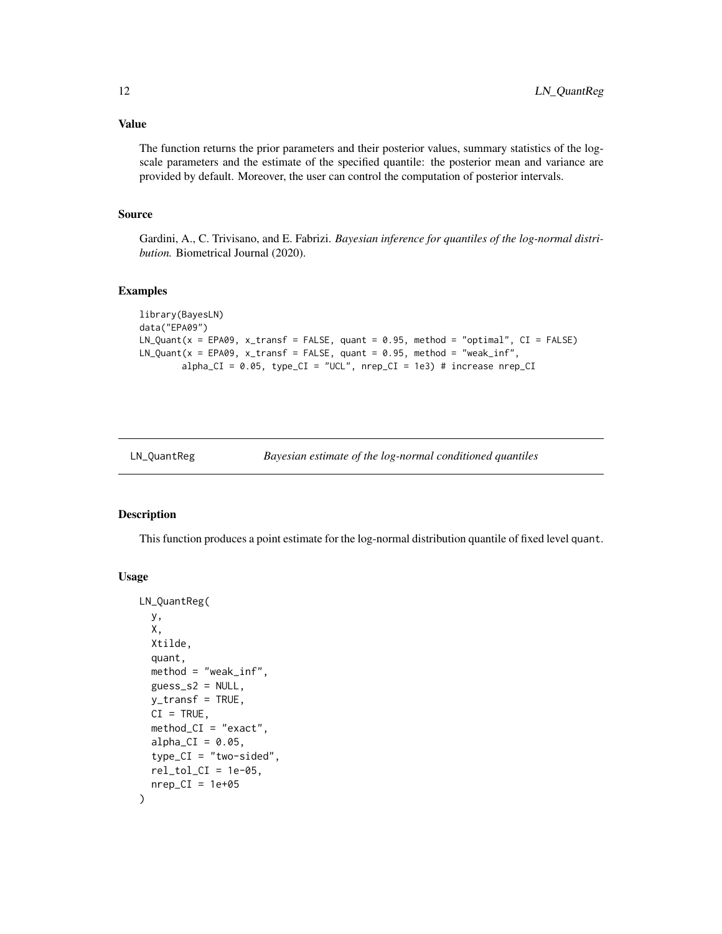#### <span id="page-11-0"></span>Value

The function returns the prior parameters and their posterior values, summary statistics of the logscale parameters and the estimate of the specified quantile: the posterior mean and variance are provided by default. Moreover, the user can control the computation of posterior intervals.

#### Source

Gardini, A., C. Trivisano, and E. Fabrizi. *Bayesian inference for quantiles of the log-normal distribution.* Biometrical Journal (2020).

#### Examples

```
library(BayesLN)
data("EPA09")
LN\_Quant(x = EPA09, x_transform = FALSE, quant = 0.95, method = "optimal", CI = FALSE)LN\_Quant(x = EPA09, x_{transf} = FALSE, quant = 0.95, method = "weak_inf",alpha_CI = 0.05, type_CI = "UCL", nrep_CI = 1e3) # increase nrep_CI
```

| LN_QuantReg |  |
|-------------|--|
|             |  |

```
Bayesian estimate of the log-normal conditioned quantiles
```
#### Description

This function produces a point estimate for the log-normal distribution quantile of fixed level quant.

#### Usage

```
LN_QuantReg(
  y,
  X,
  Xtilde,
  quant,
  method = "weak_inf",
  guess_52 = NULL,y_transf = TRUE,
  CI = TRUE,method_CI = "exact",alpha_CI = 0.05,
  type_CI = "two-sided",rel\_tol_CI = 1e-05,
  nrep_CI = 1e+05)
```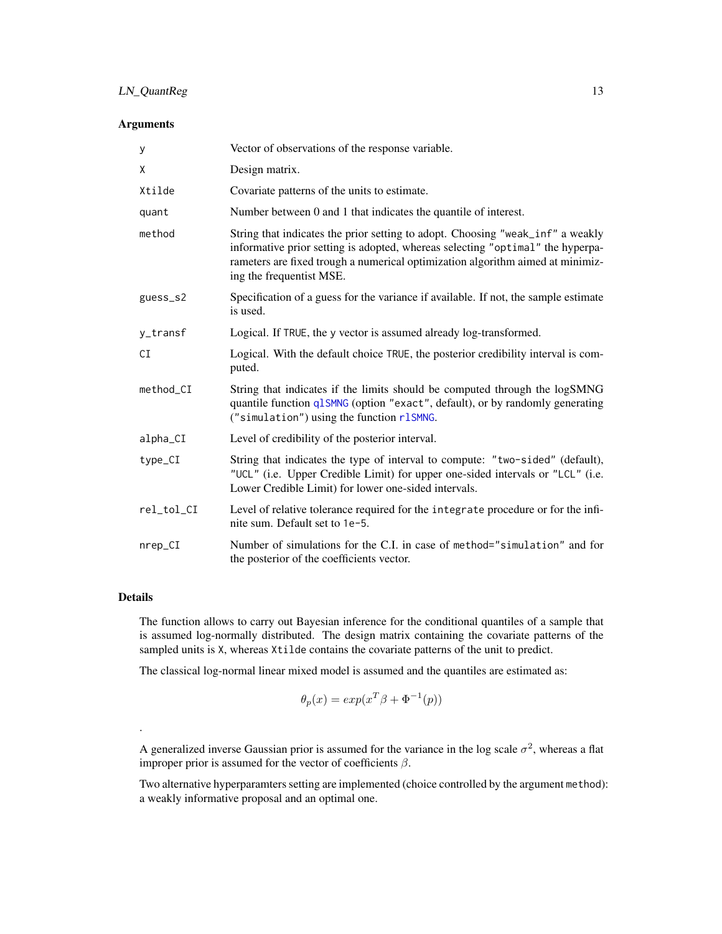# <span id="page-12-0"></span>LN\_QuantReg 13

#### Arguments

| у          | Vector of observations of the response variable.                                                                                                                                                                                                                               |
|------------|--------------------------------------------------------------------------------------------------------------------------------------------------------------------------------------------------------------------------------------------------------------------------------|
| X          | Design matrix.                                                                                                                                                                                                                                                                 |
| Xtilde     | Covariate patterns of the units to estimate.                                                                                                                                                                                                                                   |
| quant      | Number between 0 and 1 that indicates the quantile of interest.                                                                                                                                                                                                                |
| method     | String that indicates the prior setting to adopt. Choosing "weak_inf" a weakly<br>informative prior setting is adopted, whereas selecting "optimal" the hyperpa-<br>rameters are fixed trough a numerical optimization algorithm aimed at minimiz-<br>ing the frequentist MSE. |
| guess_s2   | Specification of a guess for the variance if available. If not, the sample estimate<br>is used.                                                                                                                                                                                |
| y_transf   | Logical. If TRUE, the y vector is assumed already log-transformed.                                                                                                                                                                                                             |
| СI         | Logical. With the default choice TRUE, the posterior credibility interval is com-<br>puted.                                                                                                                                                                                    |
| method_CI  | String that indicates if the limits should be computed through the logSMNG<br>quantile function q1SMNG (option "exact", default), or by randomly generating<br>("simulation") using the function rlSMNG.                                                                       |
| alpha_CI   | Level of credibility of the posterior interval.                                                                                                                                                                                                                                |
| type_CI    | String that indicates the type of interval to compute: "two-sided" (default),<br>"UCL" (i.e. Upper Credible Limit) for upper one-sided intervals or "LCL" (i.e.<br>Lower Credible Limit) for lower one-sided intervals.                                                        |
| rel_tol_CI | Level of relative tolerance required for the integrate procedure or for the infi-<br>nite sum. Default set to 1e-5.                                                                                                                                                            |
| $nrep_CI$  | Number of simulations for the C.I. in case of method="simulation" and for<br>the posterior of the coefficients vector.                                                                                                                                                         |

# Details

.

The function allows to carry out Bayesian inference for the conditional quantiles of a sample that is assumed log-normally distributed. The design matrix containing the covariate patterns of the sampled units is X, whereas Xtilde contains the covariate patterns of the unit to predict.

The classical log-normal linear mixed model is assumed and the quantiles are estimated as:

$$
\theta_p(x) = exp(x^T \beta + \Phi^{-1}(p))
$$

A generalized inverse Gaussian prior is assumed for the variance in the log scale  $\sigma^2$ , whereas a flat improper prior is assumed for the vector of coefficients  $\beta$ .

Two alternative hyperparamters setting are implemented (choice controlled by the argument method): a weakly informative proposal and an optimal one.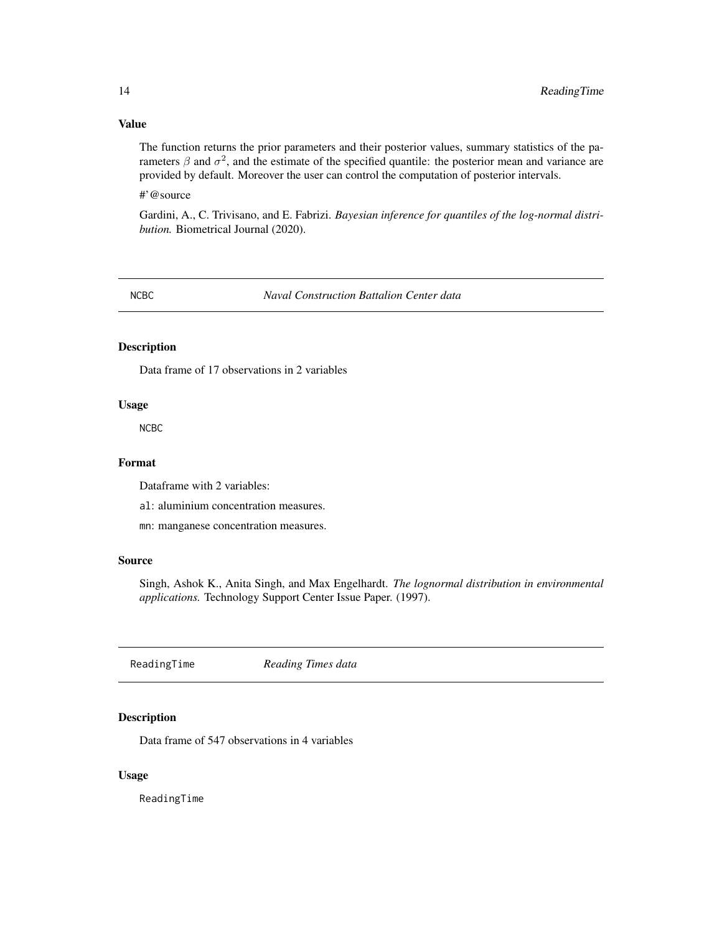### Value

The function returns the prior parameters and their posterior values, summary statistics of the parameters  $\beta$  and  $\sigma^2$ , and the estimate of the specified quantile: the posterior mean and variance are provided by default. Moreover the user can control the computation of posterior intervals.

#'@source

Gardini, A., C. Trivisano, and E. Fabrizi. *Bayesian inference for quantiles of the log-normal distribution.* Biometrical Journal (2020).

NCBC *Naval Construction Battalion Center data*

#### Description

Data frame of 17 observations in 2 variables

#### Usage

NCBC

#### Format

Dataframe with 2 variables:

al: aluminium concentration measures.

mn: manganese concentration measures.

#### Source

Singh, Ashok K., Anita Singh, and Max Engelhardt. *The lognormal distribution in environmental applications.* Technology Support Center Issue Paper. (1997).

ReadingTime *Reading Times data*

#### Description

Data frame of 547 observations in 4 variables

#### Usage

ReadingTime

<span id="page-13-0"></span>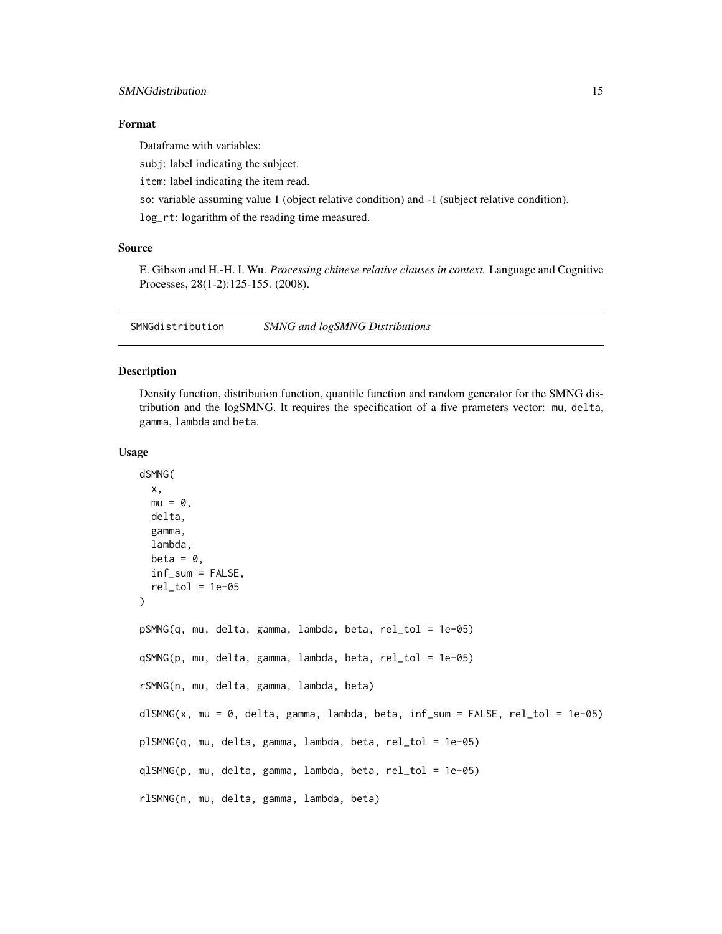#### <span id="page-14-0"></span>SMNGdistribution 15

# Format

Dataframe with variables:

subj: label indicating the subject.

item: label indicating the item read.

so: variable assuming value 1 (object relative condition) and -1 (subject relative condition).

log\_rt: logarithm of the reading time measured.

#### Source

E. Gibson and H.-H. I. Wu. *Processing chinese relative clauses in context.* Language and Cognitive Processes, 28(1-2):125-155. (2008).

SMNGdistribution *SMNG and logSMNG Distributions*

#### <span id="page-14-1"></span>**Description**

Density function, distribution function, quantile function and random generator for the SMNG distribution and the logSMNG. It requires the specification of a five prameters vector: mu, delta, gamma, lambda and beta.

#### Usage

```
dSMNG(
  x,
 mu = 0,
  delta,
  gamma,
  lambda,
 beta = \theta,
  inf_sum = FALSE,
  rel\_tol = 1e-05)
pSMNG(q, mu, delta, gamma, lambda, beta, rel_tol = 1e-05)
qSMNG(p, mu, delta, gamma, lambda, beta, rel_tol = 1e-05)
rSMNG(n, mu, delta, gamma, lambda, beta)
dlSMNG(x, mu = 0, delta, gamma, lambda, beta, inf_sum = FALSE, rel_tol = 1e-05)
plSMNG(q, mu, delta, gamma, lambda, beta, rel_tol = 1e-05)
qlSMNG(p, mu, delta, gamma, lambda, beta, rel_tol = 1e-05)
rlSMNG(n, mu, delta, gamma, lambda, beta)
```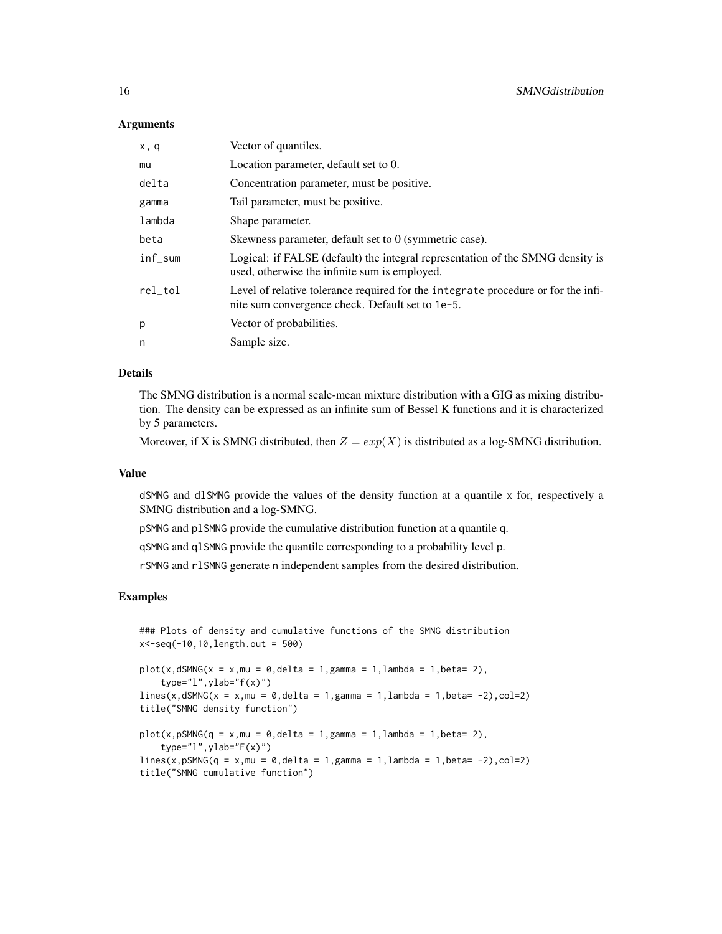#### Arguments

| Vector of quantiles.                                                                                                                  |
|---------------------------------------------------------------------------------------------------------------------------------------|
| Location parameter, default set to 0.                                                                                                 |
| Concentration parameter, must be positive.                                                                                            |
| Tail parameter, must be positive.                                                                                                     |
| Shape parameter.                                                                                                                      |
| Skewness parameter, default set to 0 (symmetric case).                                                                                |
| Logical: if FALSE (default) the integral representation of the SMNG density is<br>used, otherwise the infinite sum is employed.       |
| Level of relative tolerance required for the integrate procedure or for the infi-<br>nite sum convergence check. Default set to 1e-5. |
| Vector of probabilities.                                                                                                              |
| Sample size.                                                                                                                          |
|                                                                                                                                       |

#### Details

The SMNG distribution is a normal scale-mean mixture distribution with a GIG as mixing distribution. The density can be expressed as an infinite sum of Bessel K functions and it is characterized by 5 parameters.

Moreover, if X is SMNG distributed, then  $Z = exp(X)$  is distributed as a log-SMNG distribution.

#### Value

dSMNG and dlSMNG provide the values of the density function at a quantile x for, respectively a SMNG distribution and a log-SMNG.

pSMNG and plSMNG provide the cumulative distribution function at a quantile q.

qSMNG and qlSMNG provide the quantile corresponding to a probability level p.

rSMNG and rlSMNG generate n independent samples from the desired distribution.

#### Examples

```
### Plots of density and cumulative functions of the SMNG distribution
x<-seq(-10,10,length.out = 500)
```

```
plot(x,dSMNG(x = x,mu = 0,delta = 1,gamma = 1,lambda = 1,lambda = 1,beta = 2),type="1", ylab="f(x)")
lines(x, dSMNG(x = x, mu = 0, delta = 1, gamma = 1, lambda = 1, beta = -2), col=2)title("SMNG density function")
plot(x, pSMNG(q = x, mu = 0, delta = 1, gamma = 1, lambda = 1, beta = 2),type="l",ylab="F(x)")
```

```
lines(x, pSMNG(q = x, mu = 0, delta = 1, gamma = 1, lambda = 1, beta = -2), col=2)title("SMNG cumulative function")
```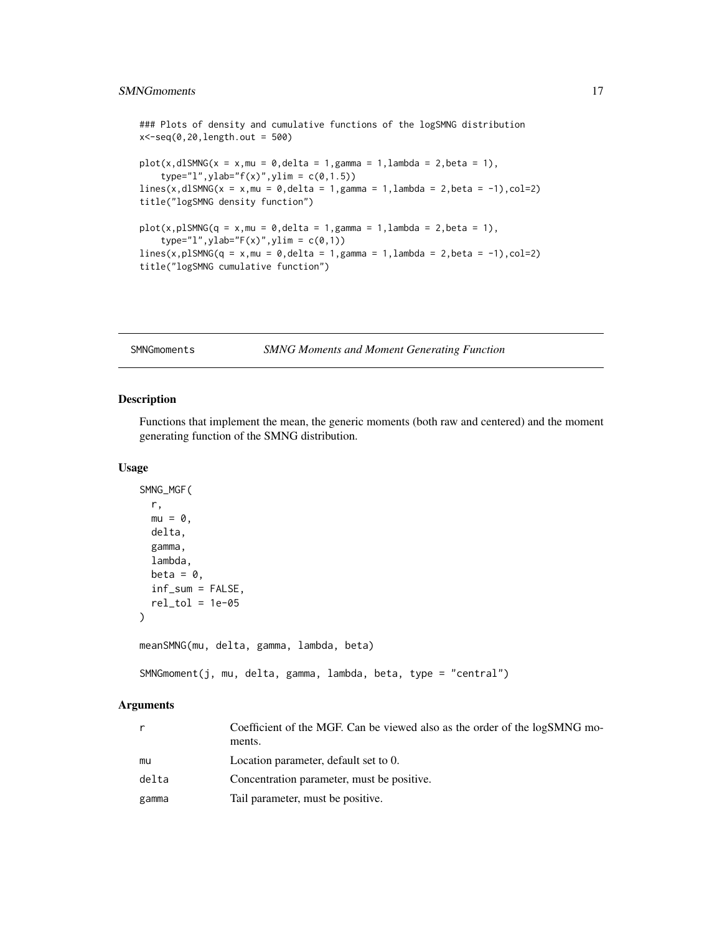# <span id="page-16-0"></span>SMNGmoments 17

### Plots of density and cumulative functions of the logSMNG distribution  $x < -seq(0, 20, length.out = 500)$  $plot(x, dlSMNG(x = x, mu = 0, delta = 1, gamma = 1, lambda = 2, beta = 1),$ type="l",ylab="f(x)",ylim =  $c(0,1.5)$ )  $lines(x, dlsMNG(x = x, mu = 0, delta = 1, gamma = 1, lambda = 2, beta = -1), col=2)$ title("logSMNG density function")  $plot(x, p1SMNG(q = x, mu = 0, delta = 1, gamma = 1, lambda = 2, beta = 1),$  $type="1", ylabel="F(x)",ylin = c(0,1))$  $lines(x, p1SMNG(q = x, mu = 0, delta = 1, gamma = 1, lambda = 2, beta = -1), col=2)$ title("logSMNG cumulative function")

SMNGmoments *SMNG Moments and Moment Generating Function*

#### Description

Functions that implement the mean, the generic moments (both raw and centered) and the moment generating function of the SMNG distribution.

#### Usage

```
SMNG_MGF(
  r,
 mu = 0,
 delta,
  gamma,
  lambda,
 beta = \theta,
  inf_sum = FALSE,
  rel\_tol = 1e-05)
meanSMNG(mu, delta, gamma, lambda, beta)
SMNGmoment(j, mu, delta, gamma, lambda, beta, type = "central")
```

|       | Coefficient of the MGF. Can be viewed also as the order of the logSMNG mo-<br>ments. |
|-------|--------------------------------------------------------------------------------------|
| mu    | Location parameter, default set to 0.                                                |
| delta | Concentration parameter, must be positive.                                           |
| gamma | Tail parameter, must be positive.                                                    |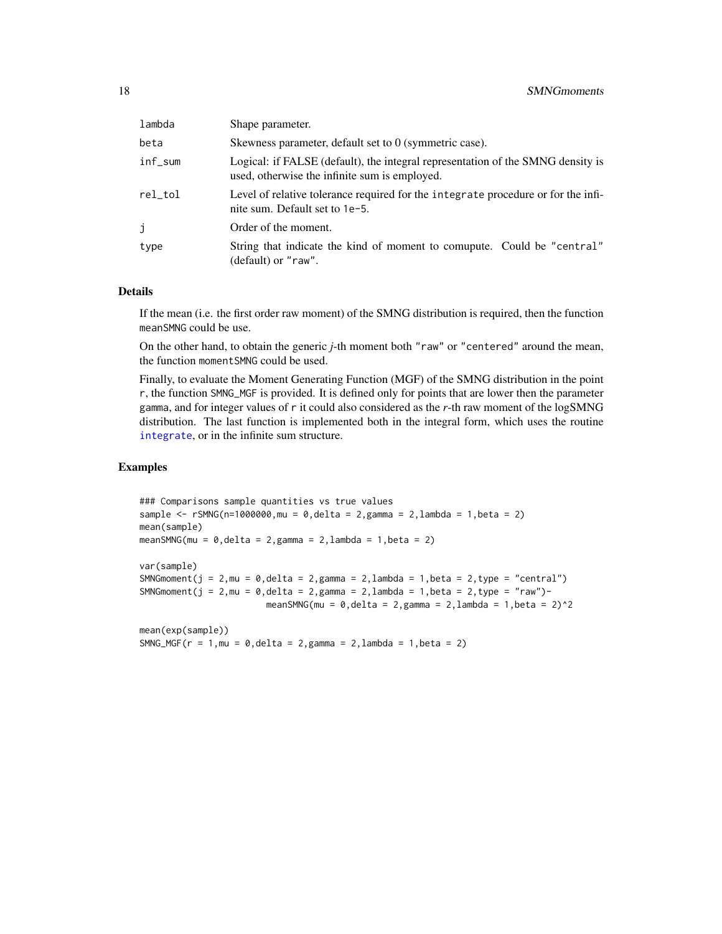<span id="page-17-0"></span>

| lambda  | Shape parameter.                                                                                                                 |
|---------|----------------------------------------------------------------------------------------------------------------------------------|
| beta    | Skewness parameter, default set to 0 (symmetric case).                                                                           |
| inf_sum | Logical: if FALSE (default), the integral representation of the SMNG density is<br>used, otherwise the infinite sum is employed. |
| rel tol | Level of relative tolerance required for the integrate procedure or for the infi-<br>nite sum. Default set to 1e-5.              |
| j       | Order of the moment.                                                                                                             |
| type    | String that indicate the kind of moment to comupute. Could be "central"<br>(default) or "raw".                                   |

If the mean (i.e. the first order raw moment) of the SMNG distribution is required, then the function meanSMNG could be use.

On the other hand, to obtain the generic *j*-th moment both "raw" or "centered" around the mean, the function momentSMNG could be used.

Finally, to evaluate the Moment Generating Function (MGF) of the SMNG distribution in the point r, the function SMNG\_MGF is provided. It is defined only for points that are lower then the parameter gamma, and for integer values of r it could also considered as the *r*-th raw moment of the logSMNG distribution. The last function is implemented both in the integral form, which uses the routine [integrate](#page-0-0), or in the infinite sum structure.

#### Examples

```
### Comparisons sample quantities vs true values
sample <- rSMNG(n=1000000, mu = 0, delta = 2, gamma = 2, lambda = 1, beta = 2)mean(sample)
meanSMNG(mu = 0, delta = 2, gamma = 2, lambda = 1, beta = 2)
var(sample)
SMNGmoment(j = 2, mu = 0, delta = 2, gamma = 2, lambda = 1, beta = 2, type = "central")
SMNGmoment(j = 2, mu = 0, delta = 2, gamma = 2, lambda = 1, beta = 2, type = "raw") -
                         meanSMNG(mu = 0, delta = 2, gamma = 2, lambda = 1, beta = 2)^2
```

```
mean(exp(sample))
SMNG_MGF(r = 1, mu = 0, delta = 2, gamma = 2, lambda = 1, beta = 2)
```